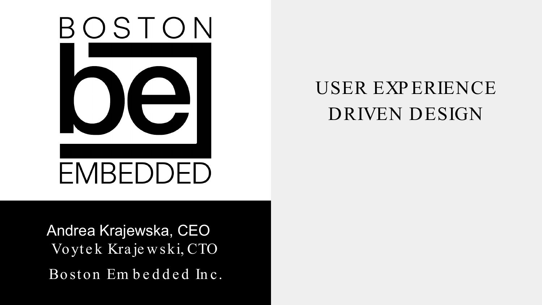

# USER EXP ERIENCE DRIVEN DESIGN

Andrea Krajewska, CEO Vo ytek Kraje w ski, CTO Boston Embedded Inc.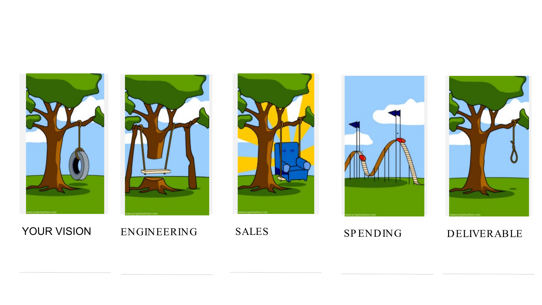









YOUR VISION ENGINEERING SALES SPENDING DELIVERABLE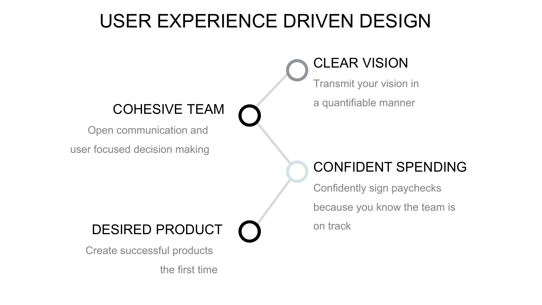## USER EXPERIENCE DRIVEN DESIGN

#### CLEAR VISION

Transmit your vision in

## COHESIVE TEAM  $\bigcap$  a quantifiable manner

Open communication and

user focused decision making

#### CONFIDENT SPENDING

Confidently sign paychecks because you know the team is

#### DESIRED PRODUCT **On track**

Create successful products

the first time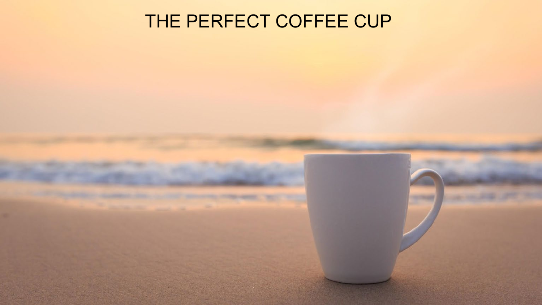## THE PERFECT COFFEE CUP

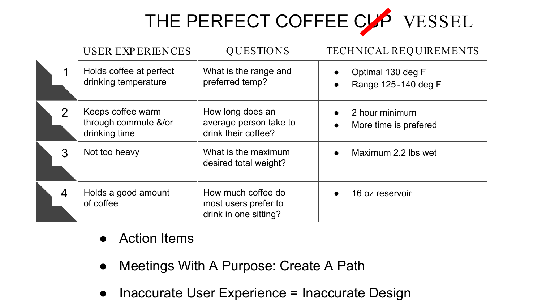

|                | <b>USER EXPERIENCES</b>                                    | <b>QUESTIONS</b>                                                    | <b>TECHNICAL REQUIREMENTS</b>                                      |
|----------------|------------------------------------------------------------|---------------------------------------------------------------------|--------------------------------------------------------------------|
|                | Holds coffee at perfect<br>drinking temperature            | What is the range and<br>preferred temp?                            | Optimal 130 deg F<br>$\bullet$<br>Range 125-140 deg F<br>$\bullet$ |
| $\overline{2}$ | Keeps coffee warm<br>through commute &/or<br>drinking time | How long does an<br>average person take to<br>drink their coffee?   | 2 hour minimum<br>$\bullet$<br>More time is prefered<br>$\bullet$  |
| 3              | Not too heavy                                              | What is the maximum<br>desired total weight?                        | Maximum 2.2 lbs wet<br>$\bullet$                                   |
| 4              | Holds a good amount<br>of coffee                           | How much coffee do<br>most users prefer to<br>drink in one sitting? | 16 oz reservoir<br>$\bullet$                                       |

- **Action Items**
- Meetings With A Purpose: Create A Path
- Inaccurate User Experience = Inaccurate Design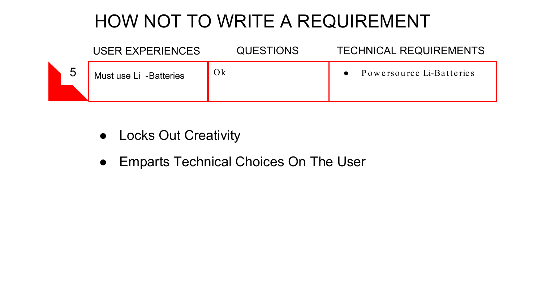## HOW NOT TO WRITE A REQUIREMENT

|   | USER EXPERIENCES       | <b>QUESTIONS</b> | <b>TECHNICAL REQUIREMENTS</b> |
|---|------------------------|------------------|-------------------------------|
| 5 | Must use Li -Batteries | O <sub>k</sub>   | Powersource Li-Batteries      |

- Locks Out Creativity
- Emparts Technical Choices On The User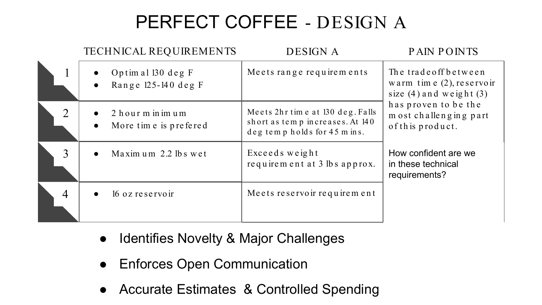# PERFECT COFFEE - DESIGN A

|                | <b>TECHNICAL REQUIREMENTS</b>              | <b>DESIGN A</b>                                                                                     | <b>PAIN POINTS</b>                                                                  |  |
|----------------|--------------------------------------------|-----------------------------------------------------------------------------------------------------|-------------------------------------------------------------------------------------|--|
|                | Optim al 130 deg F<br>Range 125-140 deg F  | Meets range requirements                                                                            | The trade off between<br>warm time $(2)$ , reservoir<br>size $(4)$ and weight $(3)$ |  |
| $\overline{2}$ | 2 hour m in im um<br>More time is prefered | Meets 2hr time at 130 deg. Falls<br>short as temp increases. At 140<br>deg temp holds for 45 m ins. | has proven to be the<br>most challenging part<br>of this product.                   |  |
| 3              | Maximum 2.2 lbs wet                        | Exceeds weight<br>requirement at 3 lbs approx.                                                      | How confident are we<br>in these technical<br>requirements?                         |  |
| 4              | 16 oz reservoir                            | Meets reservoir requirement                                                                         |                                                                                     |  |

- Identifies Novelty & Major Challenges
- Enforces Open Communication
- Accurate Estimates & Controlled Spending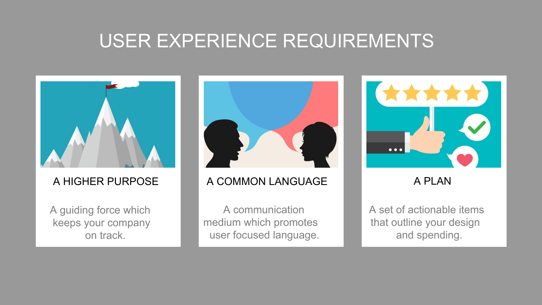#### USER EXPERIENCE REQUIREMENTS



#### A HIGHER PURPOSE

A guiding force which keeps your company on track.



#### A COMMON LANGUAGE A PLAN

A communication medium which promotes user focused language.



A set of actionable items that outline your design and spending.